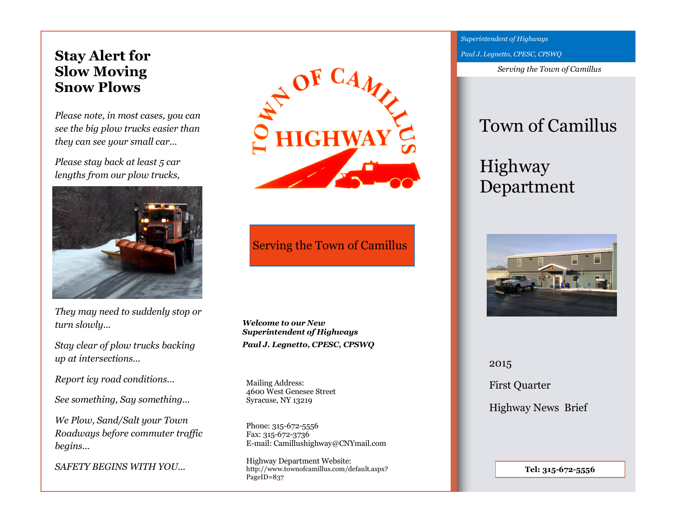# **Stay Alert for Slow Moving Snow Plows**

*Please note, in most cases, you can see the big plow trucks easier than they can see your small car…*

*Please stay back at least 5 car lengths from our plow trucks,* 



*They may need to suddenly stop or turn slowly...*

*Stay clear of plow trucks backing up at intersections...*

*Report icy road conditions…*

*See something, Say something...*

*We Plow, Sand/Salt your Town Roadways before commuter traffic begins...* 

*SAFETY BEGINS WITH YOU...*



Serving the Town of Camillus

*Welcome to our New Superintendent of Highways Paul J. Legnetto, CPESC, CPSWQ* 

Mailing Address: 4600 West Genesee Street Syracuse, NY 13219

Phone: 315-672-5556 Fax: 315-672-3736 E-mail: Camillushighway@CNYmail.com

Highway Department Website: http://www.townofcamillus.com/default.aspx? PageID=837

*Superintendent of Highways Paul J. Legnetto, CPESC, CPSWQ* 

*Serving the Town of Camillus*

# Town of Camillus

# Highway Department



2015 First Quarter Highway News Brief

**Tel: 315-672-5556**